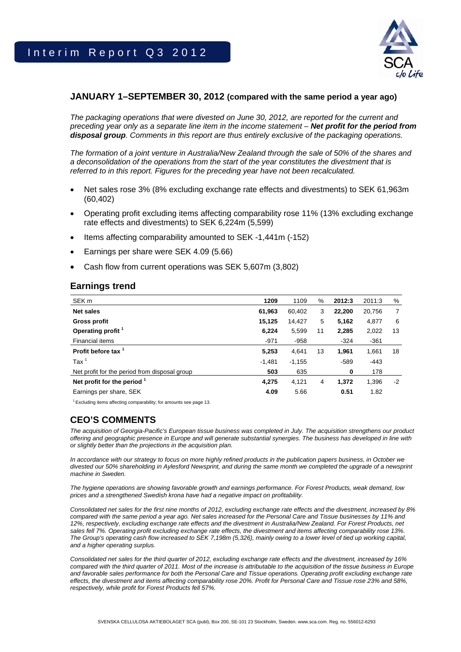

### **JANUARY 1–SEPTEMBER 30, 2012 (compared with the same period a year ago)**

*The packaging operations that were divested on June 30, 2012, are reported for the current and preceding year only as a separate line item in the income statement – Net profit for the period from disposal group. Comments in this report are thus entirely exclusive of the packaging operations.* 

*The formation of a joint venture in Australia/New Zealand through the sale of 50% of the shares and a deconsolidation of the operations from the start of the year constitutes the divestment that is referred to in this report. Figures for the preceding year have not been recalculated.* 

- Net sales rose 3% (8% excluding exchange rate effects and divestments) to SEK 61,963m (60,402)
- Operating profit excluding items affecting comparability rose 11% (13% excluding exchange rate effects and divestments) to SEK 6,224m (5,599)
- Items affecting comparability amounted to SEK -1,441m (-152)
- Earnings per share were SEK 4.09 (5.66)
- Cash flow from current operations was SEK 5,607m (3,802)

### **Earnings trend**

| SEK <sub>m</sub>                              | 1209     | 1109     | %  | 2012:3 | 2011:3 | %    |
|-----------------------------------------------|----------|----------|----|--------|--------|------|
| <b>Net sales</b>                              | 61,963   | 60,402   | 3  | 22,200 | 20,756 | 7    |
| <b>Gross profit</b>                           | 15,125   | 14,427   | 5  | 5,162  | 4,877  | 6    |
| Operating profit <sup>1</sup>                 | 6,224    | 5,599    | 11 | 2,285  | 2,022  | 13   |
| Financial items                               | $-971$   | $-958$   |    | $-324$ | $-361$ |      |
| Profit before tax <sup>1</sup>                | 5,253    | 4,641    | 13 | 1,961  | 1,661  | 18   |
| $\text{Tax}^1$                                | $-1,481$ | $-1,155$ |    | $-589$ | $-443$ |      |
| Net profit for the period from disposal group | 503      | 635      |    | 0      | 178    |      |
| Net profit for the period $1$                 | 4,275    | 4,121    | 4  | 1.372  | 1,396  | $-2$ |
| Earnings per share, SEK                       | 4.09     | 5.66     |    | 0.51   | 1.82   |      |

 $1$  Excluding items affecting comparability; for amounts see page 13.

## **CEO'S COMMENTS**

*The acquisition of Georgia-Pacific's European tissue business was completed in July. The acquisition strengthens our product offering and geographic presence in Europe and will generate substantial synergies. The business has developed in line with or slightly better than the projections in the acquisition plan.* 

In accordance with our strategy to focus on more highly refined products in the publication papers business, in October we *divested our 50% shareholding in Aylesford Newsprint, and during the same month we completed the upgrade of a newsprint machine in Sweden.* 

*The hygiene operations are showing favorable growth and earnings performance. For Forest Products, weak demand, low prices and a strengthened Swedish krona have had a negative impact on profitability.* 

*Consolidated net sales for the first nine months of 2012, excluding exchange rate effects and the divestment, increased by 8%*  compared with the same period a year ago. Net sales increased for the Personal Care and Tissue businesses by 11% and 12%, respectively, excluding exchange rate effects and the divestment in Australia/New Zealand. For Forest Products, net *sales fell 7%. Operating profit excluding exchange rate effects, the divestment and items affecting comparability rose 13%. The Group's operating cash flow increased to SEK 7,198m (5,326), mainly owing to a lower level of tied up working capital, and a higher operating surplus.* 

*Consolidated net sales for the third quarter of 2012, excluding exchange rate effects and the divestment, increased by 16% compared with the third quarter of 2011. Most of the increase is attributable to the acquisition of the tissue business in Europe and favorable sales performance for both the Personal Care and Tissue operations. Operating profit excluding exchange rate effects, the divestment and items affecting comparability rose 20%. Profit for Personal Care and Tissue rose 23% and 58%, respectively, while profit for Forest Products fell 57%.*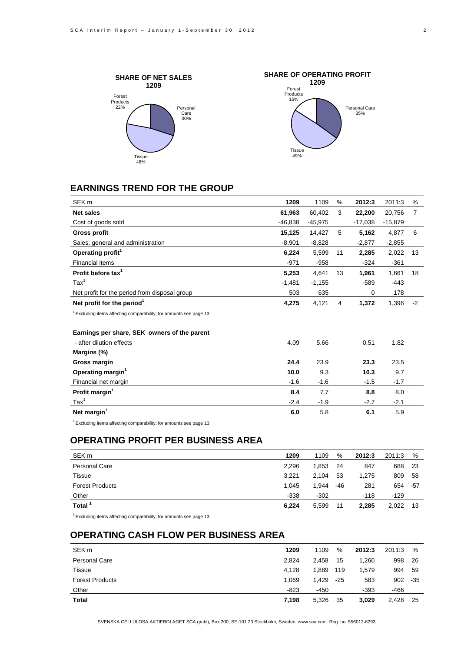



## **EARNINGS TREND FOR THE GROUP**

| SEK <sub>m</sub>                                                               | 1209     | 1109      | %  | 2012:3    | 2011:3    | %    |
|--------------------------------------------------------------------------------|----------|-----------|----|-----------|-----------|------|
| <b>Net sales</b>                                                               | 61,963   | 60,402    | 3  | 22,200    | 20,756    | 7    |
| Cost of goods sold                                                             | -46,838  | $-45,975$ |    | $-17,038$ | $-15,879$ |      |
| <b>Gross profit</b>                                                            | 15,125   | 14,427    | 5  | 5,162     | 4,877     | 6    |
| Sales, general and administration                                              | $-8,901$ | $-8,828$  |    | $-2,877$  | $-2,855$  |      |
| Operating profit <sup>1</sup>                                                  | 6,224    | 5,599     | 11 | 2,285     | 2,022     | 13   |
| <b>Financial items</b>                                                         | $-971$   | $-958$    |    | $-324$    | $-361$    |      |
| Profit before tax <sup>1</sup>                                                 | 5,253    | 4.641     | 13 | 1,961     | 1,661     | 18   |
| $\text{Tax}^1$                                                                 | $-1,481$ | $-1,155$  |    | $-589$    | $-443$    |      |
| Net profit for the period from disposal group                                  | 503      | 635       |    | 0         | 178       |      |
| Net profit for the period <sup>1</sup>                                         | 4,275    | 4,121     | 4  | 1,372     | 1,396     | $-2$ |
| <sup>1</sup> Excluding items affecting comparability; for amounts see page 13. |          |           |    |           |           |      |
| Earnings per share, SEK owners of the parent                                   |          |           |    |           |           |      |
| - after dilution effects                                                       | 4.09     | 5.66      |    | 0.51      | 1.82      |      |
| Margins (%)                                                                    |          |           |    |           |           |      |
| Gross margin                                                                   | 24.4     | 23.9      |    | 23.3      | 23.5      |      |
| Operating margin <sup>1</sup>                                                  | 10.0     | 9.3       |    | 10.3      | 9.7       |      |
| Financial net margin                                                           | $-1.6$   | $-1.6$    |    | $-1.5$    | $-1.7$    |      |
| Profit margin <sup>1</sup>                                                     | 8.4      | 7.7       |    | 8.8       | 8.0       |      |
| $\text{Tax}^1$                                                                 | $-2.4$   | $-1.9$    |    | $-2.7$    | $-2.1$    |      |
| Net margin <sup>1</sup>                                                        | 6.0      | 5.8       |    | 6.1       | 5.9       |      |

 $1$  Excluding items affecting comparability; for amounts see page 13.

## **OPERATING PROFIT PER BUSINESS AREA**

| SEK <sub>m</sub>       | 1209   | 1109   | %   | 2012:3 | 2011:3 | $\%$ |
|------------------------|--------|--------|-----|--------|--------|------|
| <b>Personal Care</b>   | 2,296  | 1,853  | -24 | 847    | 688    | -23  |
| Tissue                 | 3.221  | 2.104  | 53  | 1.275  | 809    | -58  |
| <b>Forest Products</b> | 1,045  | 1.944  | -46 | 281    | 654    | -57  |
| Other                  | $-338$ | $-302$ |     | $-118$ | $-129$ |      |
| Total <sup>1</sup>     | 6,224  | 5,599  | 11  | 2,285  | 2,022  | 13   |

 $1$  Excluding items affecting comparability; for amounts see page 13.

## **OPERATING CASH FLOW PER BUSINESS AREA**

| SEK <sub>m</sub>       | 1209   | 1109   | %     | 2012:3 | 2011:3 | %     |
|------------------------|--------|--------|-------|--------|--------|-------|
| Personal Care          | 2.824  | 2,458  | 15    | 1.260  | 998    | - 26  |
| <b>Tissue</b>          | 4.128  | 1.889  | 119   | 1.579  | 994    | -59   |
| <b>Forest Products</b> | 1.069  | 1.429  | $-25$ | 583    | 902    | $-35$ |
| Other                  | $-823$ | $-450$ |       | $-393$ | $-466$ |       |
| Total                  | 7,198  | 5,326  | 35    | 3.029  | 2.428  | 25    |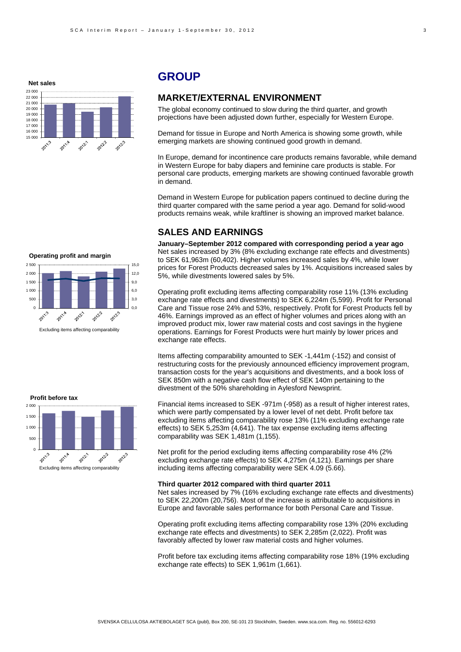**Net sales**



## **GROUP**

### **MARKET/EXTERNAL ENVIRONMENT**

The global economy continued to slow during the third quarter, and growth projections have been adjusted down further, especially for Western Europe.

Demand for tissue in Europe and North America is showing some growth, while emerging markets are showing continued good growth in demand.

In Europe, demand for incontinence care products remains favorable, while demand in Western Europe for baby diapers and feminine care products is stable. For personal care products, emerging markets are showing continued favorable growth in demand.

Demand in Western Europe for publication papers continued to decline during the third quarter compared with the same period a year ago. Demand for solid-wood products remains weak, while kraftliner is showing an improved market balance.

### **SALES AND EARNINGS**

**January–September 2012 compared with corresponding period a year ago**  Net sales increased by 3% (8% excluding exchange rate effects and divestments) to SEK 61,963m (60,402). Higher volumes increased sales by 4%, while lower prices for Forest Products decreased sales by 1%. Acquisitions increased sales by 5%, while divestments lowered sales by 5%.

Operating profit excluding items affecting comparability rose 11% (13% excluding exchange rate effects and divestments) to SEK 6,224m (5,599). Profit for Personal Care and Tissue rose 24% and 53%, respectively. Profit for Forest Products fell by 46%. Earnings improved as an effect of higher volumes and prices along with an improved product mix, lower raw material costs and cost savings in the hygiene operations. Earnings for Forest Products were hurt mainly by lower prices and exchange rate effects.

Items affecting comparability amounted to SEK -1,441m (-152) and consist of restructuring costs for the previously announced efficiency improvement program, transaction costs for the year's acquisitions and divestments, and a book loss of SEK 850m with a negative cash flow effect of SEK 140m pertaining to the divestment of the 50% shareholding in Aylesford Newsprint.

Financial items increased to SEK -971m (-958) as a result of higher interest rates, which were partly compensated by a lower level of net debt. Profit before tax excluding items affecting comparability rose 13% (11% excluding exchange rate effects) to SEK 5,253m (4,641). The tax expense excluding items affecting comparability was SEK 1,481m (1,155).

Net profit for the period excluding items affecting comparability rose 4% (2% excluding exchange rate effects) to SEK 4,275m (4,121). Earnings per share including items affecting comparability were SEK 4.09 (5.66).

#### **Third quarter 2012 compared with third quarter 2011**

Net sales increased by 7% (16% excluding exchange rate effects and divestments) to SEK 22,200m (20,756). Most of the increase is attributable to acquisitions in Europe and favorable sales performance for both Personal Care and Tissue.

Operating profit excluding items affecting comparability rose 13% (20% excluding exchange rate effects and divestments) to SEK 2,285m (2,022). Profit was favorably affected by lower raw material costs and higher volumes.

Profit before tax excluding items affecting comparability rose 18% (19% excluding exchange rate effects) to SEK 1,961m (1,661).



Excluding items affecting comparability

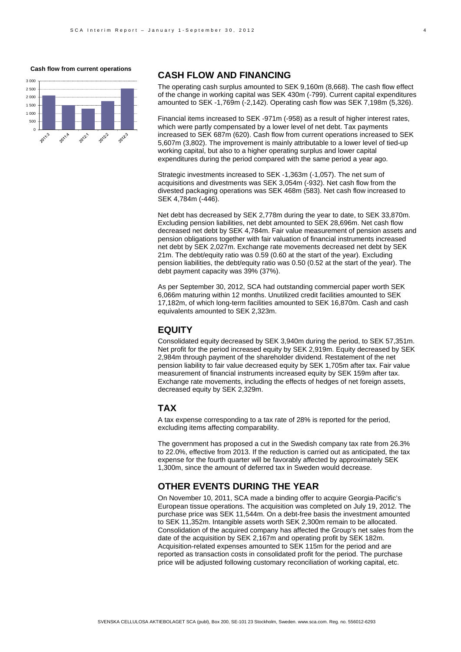#### **Cash flow from current operations**



### **CASH FLOW AND FINANCING**

The operating cash surplus amounted to SEK 9,160m (8,668). The cash flow effect of the change in working capital was SEK 430m (-799). Current capital expenditures amounted to SEK -1,769m (-2,142). Operating cash flow was SEK 7,198m (5,326).

Financial items increased to SEK -971m (-958) as a result of higher interest rates, which were partly compensated by a lower level of net debt. Tax payments increased to SEK 687m (620). Cash flow from current operations increased to SEK 5,607m (3,802). The improvement is mainly attributable to a lower level of tied-up working capital, but also to a higher operating surplus and lower capital expenditures during the period compared with the same period a year ago.

Strategic investments increased to SEK -1,363m (-1,057). The net sum of acquisitions and divestments was SEK 3,054m (-932). Net cash flow from the divested packaging operations was SEK 468m (583). Net cash flow increased to SEK 4,784m (-446).

Net debt has decreased by SEK 2,778m during the year to date, to SEK 33,870m. Excluding pension liabilities, net debt amounted to SEK 28,696m. Net cash flow decreased net debt by SEK 4,784m. Fair value measurement of pension assets and pension obligations together with fair valuation of financial instruments increased net debt by SEK 2,027m. Exchange rate movements decreased net debt by SEK 21m. The debt/equity ratio was 0.59 (0.60 at the start of the year). Excluding pension liabilities, the debt/equity ratio was 0.50 (0.52 at the start of the year). The debt payment capacity was 39% (37%).

As per September 30, 2012, SCA had outstanding commercial paper worth SEK 6,066m maturing within 12 months. Unutilized credit facilities amounted to SEK 17,182m, of which long-term facilities amounted to SEK 16,870m. Cash and cash equivalents amounted to SEK 2,323m.

### **EQUITY**

Consolidated equity decreased by SEK 3,940m during the period, to SEK 57,351m. Net profit for the period increased equity by SEK 2,919m. Equity decreased by SEK 2,984m through payment of the shareholder dividend. Restatement of the net pension liability to fair value decreased equity by SEK 1,705m after tax. Fair value measurement of financial instruments increased equity by SEK 159m after tax. Exchange rate movements, including the effects of hedges of net foreign assets, decreased equity by SEK 2,329m.

### **TAX**

A tax expense corresponding to a tax rate of 28% is reported for the period, excluding items affecting comparability.

The government has proposed a cut in the Swedish company tax rate from 26.3% to 22.0%, effective from 2013. If the reduction is carried out as anticipated, the tax expense for the fourth quarter will be favorably affected by approximately SEK 1,300m, since the amount of deferred tax in Sweden would decrease.

### **OTHER EVENTS DURING THE YEAR**

On November 10, 2011, SCA made a binding offer to acquire Georgia-Pacific's European tissue operations. The acquisition was completed on July 19, 2012. The purchase price was SEK 11,544m. On a debt-free basis the investment amounted to SEK 11,352m. Intangible assets worth SEK 2,300m remain to be allocated. Consolidation of the acquired company has affected the Group's net sales from the date of the acquisition by SEK 2,167m and operating profit by SEK 182m. Acquisition-related expenses amounted to SEK 115m for the period and are reported as transaction costs in consolidated profit for the period. The purchase price will be adjusted following customary reconciliation of working capital, etc.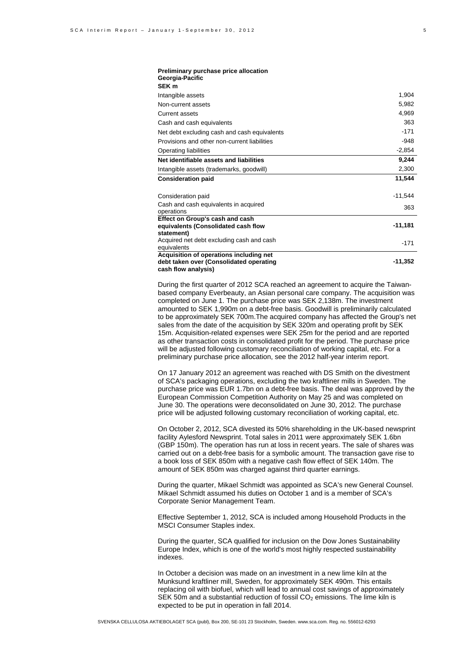| Preliminary purchase price allocation<br>Georgia-Pacific                                                  |           |
|-----------------------------------------------------------------------------------------------------------|-----------|
| SEK <sub>m</sub>                                                                                          |           |
| Intangible assets                                                                                         | 1,904     |
| Non-current assets                                                                                        | 5,982     |
| <b>Current assets</b>                                                                                     | 4,969     |
| Cash and cash equivalents                                                                                 | 363       |
| Net debt excluding cash and cash equivalents                                                              | $-171$    |
| Provisions and other non-current liabilities                                                              | $-948$    |
| Operating liabilities                                                                                     | $-2,854$  |
| Net identifiable assets and liabilities                                                                   | 9,244     |
| Intangible assets (trademarks, goodwill)                                                                  | 2,300     |
| <b>Consideration paid</b>                                                                                 | 11,544    |
| Consideration paid                                                                                        | -11,544   |
| Cash and cash equivalents in acquired                                                                     | 363       |
| operations                                                                                                |           |
| Effect on Group's cash and cash                                                                           | $-11,181$ |
| equivalents (Consolidated cash flow<br>statement)                                                         |           |
| Acquired net debt excluding cash and cash                                                                 |           |
| equivalents                                                                                               | $-171$    |
| Acquisition of operations including net<br>debt taken over (Consolidated operating<br>cash flow analysis) | $-11,352$ |

During the first quarter of 2012 SCA reached an agreement to acquire the Taiwanbased company Everbeauty, an Asian personal care company. The acquisition was completed on June 1. The purchase price was SEK 2,138m. The investment amounted to SEK 1,990m on a debt-free basis. Goodwill is preliminarily calculated to be approximately SEK 700m.The acquired company has affected the Group's net sales from the date of the acquisition by SEK 320m and operating profit by SEK 15m. Acquisition-related expenses were SEK 25m for the period and are reported as other transaction costs in consolidated profit for the period. The purchase price will be adjusted following customary reconciliation of working capital, etc. For a preliminary purchase price allocation, see the 2012 half-year interim report.

On 17 January 2012 an agreement was reached with DS Smith on the divestment of SCA's packaging operations, excluding the two kraftliner mills in Sweden. The purchase price was EUR 1.7bn on a debt-free basis. The deal was approved by the European Commission Competition Authority on May 25 and was completed on June 30. The operations were deconsolidated on June 30, 2012. The purchase price will be adjusted following customary reconciliation of working capital, etc.

On October 2, 2012, SCA divested its 50% shareholding in the UK-based newsprint facility Aylesford Newsprint. Total sales in 2011 were approximately SEK 1.6bn (GBP 150m). The operation has run at loss in recent years. The sale of shares was carried out on a debt-free basis for a symbolic amount. The transaction gave rise to a book loss of SEK 850m with a negative cash flow effect of SEK 140m. The amount of SEK 850m was charged against third quarter earnings.

During the quarter, Mikael Schmidt was appointed as SCA's new General Counsel. Mikael Schmidt assumed his duties on October 1 and is a member of SCA's Corporate Senior Management Team.

Effective September 1, 2012, SCA is included among Household Products in the MSCI Consumer Staples index.

During the quarter, SCA qualified for inclusion on the Dow Jones Sustainability Europe Index, which is one of the world's most highly respected sustainability indexes.

In October a decision was made on an investment in a new lime kiln at the Munksund kraftliner mill, Sweden, for approximately SEK 490m. This entails replacing oil with biofuel, which will lead to annual cost savings of approximately SEK 50m and a substantial reduction of fossil  $CO<sub>2</sub>$  emissions. The lime kiln is expected to be put in operation in fall 2014.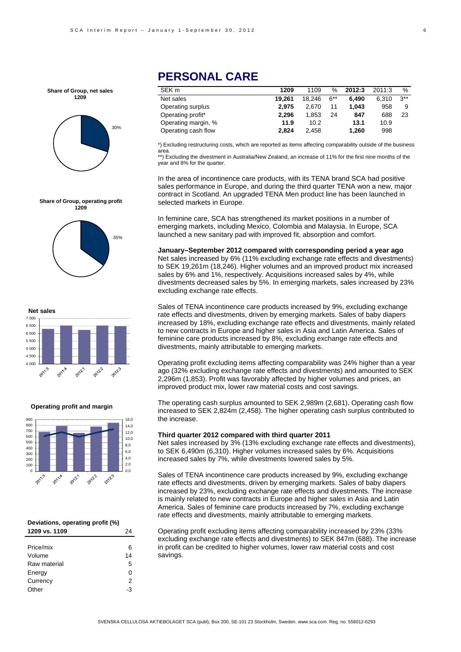**Share of Group, net sales 1209**





**Share of Group, operating profit 1209**



**Operating profit and margin**



| Deviations, operating profit (%) |    |  |  |  |  |
|----------------------------------|----|--|--|--|--|
| 1209 vs. 1109                    | 24 |  |  |  |  |
|                                  |    |  |  |  |  |
| Price/mix                        | 6  |  |  |  |  |
| Volume                           | 14 |  |  |  |  |
| Raw material                     | 5  |  |  |  |  |
| Energy                           | ŋ  |  |  |  |  |
| Currency                         | 2  |  |  |  |  |
| Other                            | -3 |  |  |  |  |

## **PERSONAL CARE**

| SEK <sub>m</sub>    | 1209   | 1109   | ℅     | 2012:3 | 2011:3 | %        |
|---------------------|--------|--------|-------|--------|--------|----------|
| Net sales           | 19.261 | 18.246 | $6**$ | 6.490  | 6.310  | $3^{**}$ |
| Operating surplus   | 2.975  | 2.670  | 11    | 1.043  | 958    | 9        |
| Operating profit*   | 2.296  | 1.853  | 24    | 847    | 688    | 23       |
| Operating margin, % | 11.9   | 10.2   |       | 13.1   | 10.9   |          |
| Operating cash flow | 2.824  | 2.458  |       | 1,260  | 998    |          |

\*) Excluding restructuring costs, which are reported as items affecting comparability outside of the business area.

\*\*) Excluding the divestment in Australia/New Zealand, an increase of 11% for the first nine months of the year and 8% for the quarter.

In the area of incontinence care products, with its TENA brand SCA had positive sales performance in Europe, and during the third quarter TENA won a new, major contract in Scotland. An upgraded TENA Men product line has been launched in selected markets in Europe.

In feminine care, SCA has strengthened its market positions in a number of emerging markets, including Mexico, Colombia and Malaysia. In Europe, SCA launched a new sanitary pad with improved fit, absorption and comfort.

**January–September 2012 compared with corresponding period a year ago**  Net sales increased by 6% (11% excluding exchange rate effects and divestments) to SEK 19,261m (18,246). Higher volumes and an improved product mix increased sales by 6% and 1%, respectively. Acquisitions increased sales by 4%, while divestments decreased sales by 5%. In emerging markets, sales increased by 23% excluding exchange rate effects.

Sales of TENA incontinence care products increased by 9%, excluding exchange rate effects and divestments, driven by emerging markets. Sales of baby diapers increased by 18%, excluding exchange rate effects and divestments, mainly related to new contracts in Europe and higher sales in Asia and Latin America. Sales of feminine care products increased by 8%, excluding exchange rate effects and divestments, mainly attributable to emerging markets.

Operating profit excluding items affecting comparability was 24% higher than a year ago (32% excluding exchange rate effects and divestments) and amounted to SEK 2,296m (1,853). Profit was favorably affected by higher volumes and prices, an improved product mix, lower raw material costs and cost savings.

The operating cash surplus amounted to SEK 2,989m (2,681). Operating cash flow increased to SEK 2,824m (2,458). The higher operating cash surplus contributed to the increase.

#### **Third quarter 2012 compared with third quarter 2011**

Net sales increased by 3% (13% excluding exchange rate effects and divestments), to SEK 6,490m (6,310). Higher volumes increased sales by 6%. Acquisitions increased sales by 7%, while divestments lowered sales by 5%.

Sales of TENA incontinence care products increased by 9%, excluding exchange rate effects and divestments, driven by emerging markets. Sales of baby diapers increased by 23%, excluding exchange rate effects and divestments. The increase is mainly related to new contracts in Europe and higher sales in Asia and Latin America. Sales of feminine care products increased by 7%, excluding exchange rate effects and divestments, mainly attributable to emerging markets.

Operating profit excluding items affecting comparability increased by 23% (33% excluding exchange rate effects and divestments) to SEK 847m (688). The increase in profit can be credited to higher volumes, lower raw material costs and cost savings.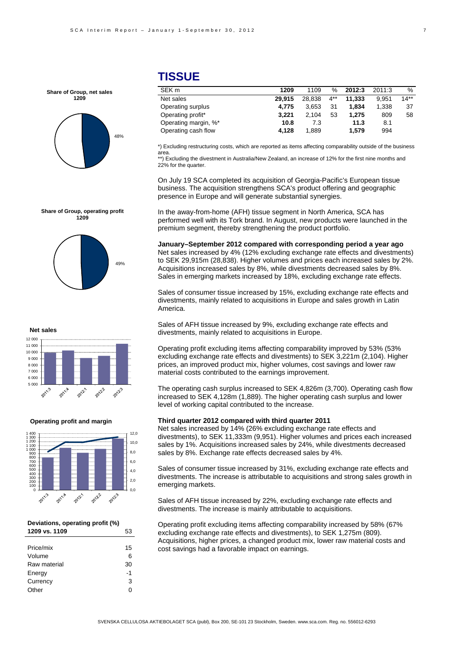

## **TISSUE**

| SEK <sub>m</sub>     | 1209   | 1109   | $\%$  | 2012:3 | 2011:3 | %      |
|----------------------|--------|--------|-------|--------|--------|--------|
| Net sales            | 29.915 | 28.838 | $4**$ | 11.333 | 9.951  | $14**$ |
| Operating surplus    | 4.775  | 3.653  | 31    | 1.834  | 1.338  | -37    |
| Operating profit*    | 3.221  | 2.104  | 53    | 1.275  | 809    | 58     |
| Operating margin, %* | 10.8   | 7.3    |       | 11.3   | 8.1    |        |
| Operating cash flow  | 4.128  | 1.889  |       | 1.579  | 994    |        |

\*) Excluding restructuring costs, which are reported as items affecting comparability outside of the business area.

\*\*) Excluding the divestment in Australia/New Zealand, an increase of 12% for the first nine months and 22% for the quarter.

On July 19 SCA completed its acquisition of Georgia-Pacific's European tissue business. The acquisition strengthens SCA's product offering and geographic presence in Europe and will generate substantial synergies.

In the away-from-home (AFH) tissue segment in North America, SCA has performed well with its Tork brand. In August, new products were launched in the premium segment, thereby strengthening the product portfolio.

**January–September 2012 compared with corresponding period a year ago**  Net sales increased by 4% (12% excluding exchange rate effects and divestments) to SEK 29,915m (28,838). Higher volumes and prices each increased sales by 2%. Acquisitions increased sales by 8%, while divestments decreased sales by 8%. Sales in emerging markets increased by 18%, excluding exchange rate effects.

Sales of consumer tissue increased by 15%, excluding exchange rate effects and divestments, mainly related to acquisitions in Europe and sales growth in Latin America.

Sales of AFH tissue increased by 9%, excluding exchange rate effects and divestments, mainly related to acquisitions in Europe.

Operating profit excluding items affecting comparability improved by 53% (53% excluding exchange rate effects and divestments) to SEK 3,221m (2,104). Higher prices, an improved product mix, higher volumes, cost savings and lower raw material costs contributed to the earnings improvement.

The operating cash surplus increased to SEK 4,826m (3,700). Operating cash flow increased to SEK 4,128m (1,889). The higher operating cash surplus and lower level of working capital contributed to the increase.

#### **Third quarter 2012 compared with third quarter 2011**

Net sales increased by 14% (26% excluding exchange rate effects and divestments), to SEK 11,333m (9,951). Higher volumes and prices each increased sales by 1%. Acquisitions increased sales by 24%, while divestments decreased sales by 8%. Exchange rate effects decreased sales by 4%.

Sales of consumer tissue increased by 31%, excluding exchange rate effects and divestments. The increase is attributable to acquisitions and strong sales growth in emerging markets.

Sales of AFH tissue increased by 22%, excluding exchange rate effects and divestments. The increase is mainly attributable to acquisitions.

Operating profit excluding items affecting comparability increased by 58% (67% excluding exchange rate effects and divestments), to SEK 1,275m (809). Acquisitions, higher prices, a changed product mix, lower raw material costs and cost savings had a favorable impact on earnings.

# **1209**

**Share of Group, operating profit**







#### **Operating profit and margin**



#### **Deviations, operating profit (%) 1209 vs. 1109** 53

| Price/mix    | 15 |
|--------------|----|
| Volume       | 6  |
| Raw material | 30 |
| Energy       | -1 |
| Currency     | 3  |
| Other        | U  |
|              |    |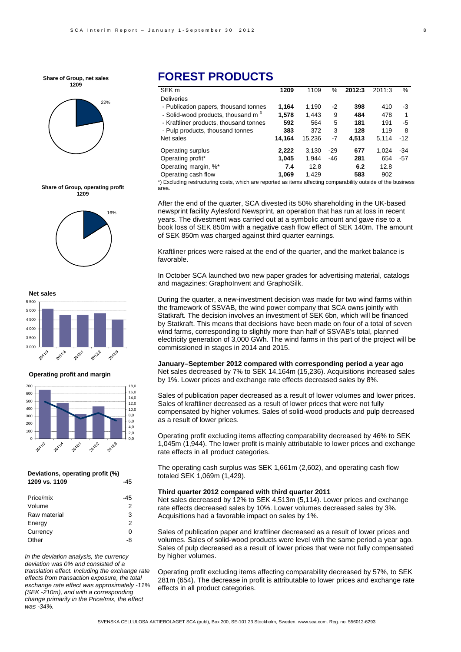**Share of Group, net sales 1209**



**Share of Group, operating profit 1209**





**Operating profit and margin**



#### **Deviations, operating profit (%) 1209 vs. 1109** -45

| Price/mix    | -45 |
|--------------|-----|
| Volume       | 2   |
| Raw material | 3   |
| Energy       | 2   |
| Currency     | O   |
| Other        | -8  |
|              |     |

*In the deviation analysis, the currency deviation was 0% and consisted of a translation effect. Including the exchange rate effects from transaction exposure, the total exchange rate effect was approximately -11% (SEK -210m), and with a corresponding change primarily in the Price/mix, the effect was -34%.* 

## **FOREST PRODUCTS**

| SEK <sub>m</sub>                               | 1209   | 1109   | %     | 2012:3 | 2011:3 | %     |
|------------------------------------------------|--------|--------|-------|--------|--------|-------|
| <b>Deliveries</b>                              |        |        |       |        |        |       |
| - Publication papers, thousand tonnes          | 1.164  | 1,190  | -2    | 398    | 410    | -3    |
| - Solid-wood products, thousand m <sup>3</sup> | 1.578  | 1,443  | 9     | 484    | 478    | 1     |
| - Kraftliner products, thousand tonnes         | 592    | 564    | 5     | 181    | 191    | -5    |
| - Pulp products, thousand tonnes               | 383    | 372    | 3     | 128    | 119    | 8     |
| Net sales                                      | 14.164 | 15.236 | $-7$  | 4.513  | 5.114  | $-12$ |
| Operating surplus                              | 2,222  | 3.130  | $-29$ | 677    | 1.024  | -34   |
| Operating profit*                              | 1,045  | 1.944  | -46   | 281    | 654    | $-57$ |
| Operating margin, %*                           | 7.4    | 12.8   |       | 6.2    | 12.8   |       |
| Operating cash flow                            | 1.069  | 1.429  |       | 583    | 902    |       |

\*) Excluding restructuring costs, which are reported as items affecting comparability outside of the business area.

After the end of the quarter, SCA divested its 50% shareholding in the UK-based newsprint facility Aylesford Newsprint, an operation that has run at loss in recent years. The divestment was carried out at a symbolic amount and gave rise to a book loss of SEK 850m with a negative cash flow effect of SEK 140m. The amount of SEK 850m was charged against third quarter earnings.

Kraftliner prices were raised at the end of the quarter, and the market balance is favorable.

In October SCA launched two new paper grades for advertising material, catalogs and magazines: GraphoInvent and GraphoSilk.

During the quarter, a new-investment decision was made for two wind farms within the framework of SSVAB, the wind power company that SCA owns jointly with Statkraft. The decision involves an investment of SEK 6bn, which will be financed by Statkraft. This means that decisions have been made on four of a total of seven wind farms, corresponding to slightly more than half of SSVAB's total, planned electricity generation of 3,000 GWh. The wind farms in this part of the project will be commissioned in stages in 2014 and 2015.

### **January–September 2012 compared with corresponding period a year ago**

Net sales decreased by 7% to SEK 14,164m (15,236). Acquisitions increased sales by 1%. Lower prices and exchange rate effects decreased sales by 8%.

Sales of publication paper decreased as a result of lower volumes and lower prices. Sales of kraftliner decreased as a result of lower prices that were not fully compensated by higher volumes. Sales of solid-wood products and pulp decreased as a result of lower prices.

Operating profit excluding items affecting comparability decreased by 46% to SEK 1,045m (1,944). The lower profit is mainly attributable to lower prices and exchange rate effects in all product categories.

The operating cash surplus was SEK 1,661m (2,602), and operating cash flow totaled SEK 1,069m (1,429).

#### **Third quarter 2012 compared with third quarter 2011**

Net sales decreased by 12% to SEK 4,513m (5,114). Lower prices and exchange rate effects decreased sales by 10%. Lower volumes decreased sales by 3%. Acquisitions had a favorable impact on sales by 1%.

Sales of publication paper and kraftliner decreased as a result of lower prices and volumes. Sales of solid-wood products were level with the same period a year ago. Sales of pulp decreased as a result of lower prices that were not fully compensated by higher volumes.

Operating profit excluding items affecting comparability decreased by 57%, to SEK 281m (654). The decrease in profit is attributable to lower prices and exchange rate effects in all product categories.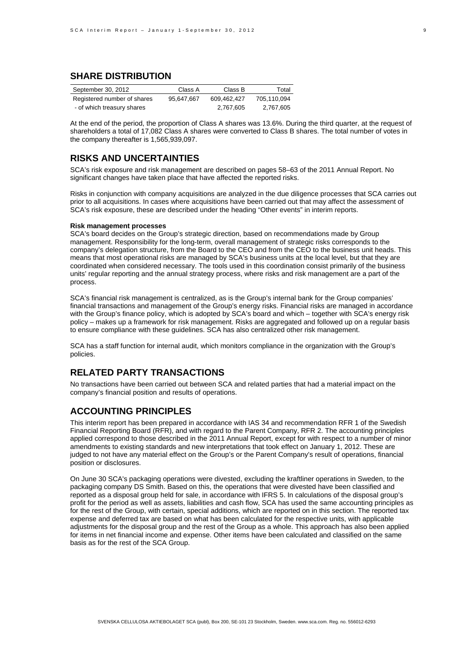### **SHARE DISTRIBUTION**

| September 30, 2012          | Class A    | Class B     | Total       |
|-----------------------------|------------|-------------|-------------|
| Registered number of shares | 95.647.667 | 609.462.427 | 705.110.094 |
| - of which treasury shares  |            | 2.767.605   | 2,767,605   |

At the end of the period, the proportion of Class A shares was 13.6%. During the third quarter, at the request of shareholders a total of 17,082 Class A shares were converted to Class B shares. The total number of votes in the company thereafter is 1,565,939,097.

### **RISKS AND UNCERTAINTIES**

SCA's risk exposure and risk management are described on pages 58–63 of the 2011 Annual Report. No significant changes have taken place that have affected the reported risks.

Risks in conjunction with company acquisitions are analyzed in the due diligence processes that SCA carries out prior to all acquisitions. In cases where acquisitions have been carried out that may affect the assessment of SCA's risk exposure, these are described under the heading "Other events" in interim reports.

#### **Risk management processes**

SCA's board decides on the Group's strategic direction, based on recommendations made by Group management. Responsibility for the long-term, overall management of strategic risks corresponds to the company's delegation structure, from the Board to the CEO and from the CEO to the business unit heads. This means that most operational risks are managed by SCA's business units at the local level, but that they are coordinated when considered necessary. The tools used in this coordination consist primarily of the business units' regular reporting and the annual strategy process, where risks and risk management are a part of the process.

SCA's financial risk management is centralized, as is the Group's internal bank for the Group companies' financial transactions and management of the Group's energy risks. Financial risks are managed in accordance with the Group's finance policy, which is adopted by SCA's board and which – together with SCA's energy risk policy – makes up a framework for risk management. Risks are aggregated and followed up on a regular basis to ensure compliance with these guidelines. SCA has also centralized other risk management.

SCA has a staff function for internal audit, which monitors compliance in the organization with the Group's policies.

## **RELATED PARTY TRANSACTIONS**

No transactions have been carried out between SCA and related parties that had a material impact on the company's financial position and results of operations.

### **ACCOUNTING PRINCIPLES**

This interim report has been prepared in accordance with IAS 34 and recommendation RFR 1 of the Swedish Financial Reporting Board (RFR), and with regard to the Parent Company, RFR 2. The accounting principles applied correspond to those described in the 2011 Annual Report, except for with respect to a number of minor amendments to existing standards and new interpretations that took effect on January 1, 2012. These are judged to not have any material effect on the Group's or the Parent Company's result of operations, financial position or disclosures.

On June 30 SCA's packaging operations were divested, excluding the kraftliner operations in Sweden, to the packaging company DS Smith. Based on this, the operations that were divested have been classified and reported as a disposal group held for sale, in accordance with IFRS 5. In calculations of the disposal group's profit for the period as well as assets, liabilities and cash flow, SCA has used the same accounting principles as for the rest of the Group, with certain, special additions, which are reported on in this section. The reported tax expense and deferred tax are based on what has been calculated for the respective units, with applicable adjustments for the disposal group and the rest of the Group as a whole. This approach has also been applied for items in net financial income and expense. Other items have been calculated and classified on the same basis as for the rest of the SCA Group.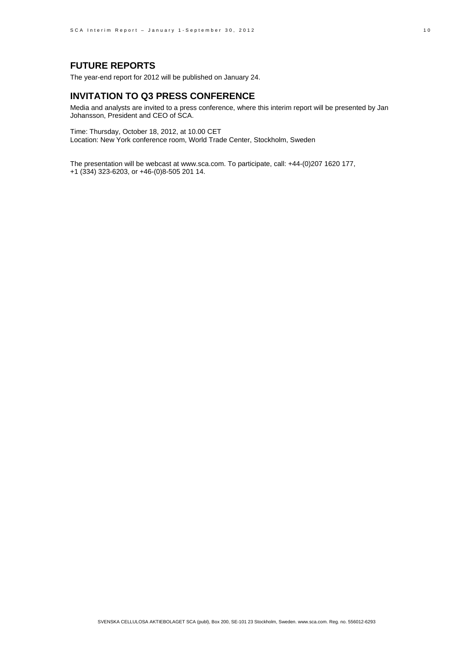## **FUTURE REPORTS**

The year-end report for 2012 will be published on January 24.

### **INVITATION TO Q3 PRESS CONFERENCE**

Media and analysts are invited to a press conference, where this interim report will be presented by Jan Johansson, President and CEO of SCA.

Time: Thursday, October 18, 2012, at 10.00 CET Location: New York conference room, World Trade Center, Stockholm, Sweden

The presentation will be webcast at www.sca.com. To participate, call: +44-(0)207 1620 177, +1 (334) 323-6203, or +46-(0)8-505 201 14.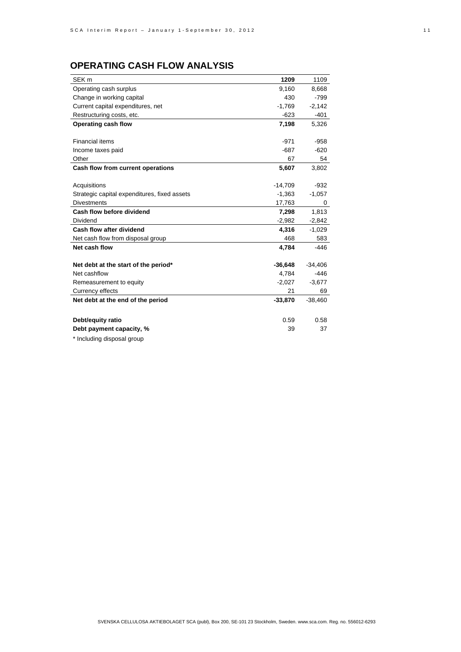## **OPERATING CASH FLOW ANALYSIS**

| SEK <sub>m</sub>                             | 1209      | 1109      |
|----------------------------------------------|-----------|-----------|
| Operating cash surplus                       | 9.160     | 8,668     |
| Change in working capital                    | 430       | $-799$    |
| Current capital expenditures, net            | $-1,769$  | $-2,142$  |
| Restructuring costs, etc.                    | $-623$    | $-401$    |
| Operating cash flow                          | 7,198     | 5,326     |
|                                              |           |           |
| <b>Financial items</b>                       | $-971$    | $-958$    |
| Income taxes paid                            | $-687$    | $-620$    |
| Other                                        | 67        | 54        |
| Cash flow from current operations            | 5,607     | 3,802     |
|                                              |           |           |
| Acquisitions                                 | $-14,709$ | $-932$    |
| Strategic capital expenditures, fixed assets | $-1,363$  | $-1,057$  |
| <b>Divestments</b>                           | 17,763    | $\Omega$  |
| Cash flow before dividend                    | 7,298     | 1,813     |
| Dividend                                     | $-2,982$  | $-2,842$  |
| Cash flow after dividend                     | 4,316     | $-1,029$  |
| Net cash flow from disposal group            | 468       | 583       |
| Net cash flow                                | 4,784     | $-446$    |
|                                              |           |           |
| Net debt at the start of the period*         | $-36,648$ | $-34,406$ |
| Net cashflow                                 | 4.784     | $-446$    |
| Remeasurement to equity                      | $-2,027$  | $-3,677$  |
| Currency effects                             | 21        | 69        |
| Net debt at the end of the period            | $-33,870$ | $-38,460$ |
|                                              |           |           |
| Debt/equity ratio                            | 0.59      | 0.58      |
| Debt payment capacity, %                     | 39        | 37        |
|                                              |           |           |

\* Including disposal group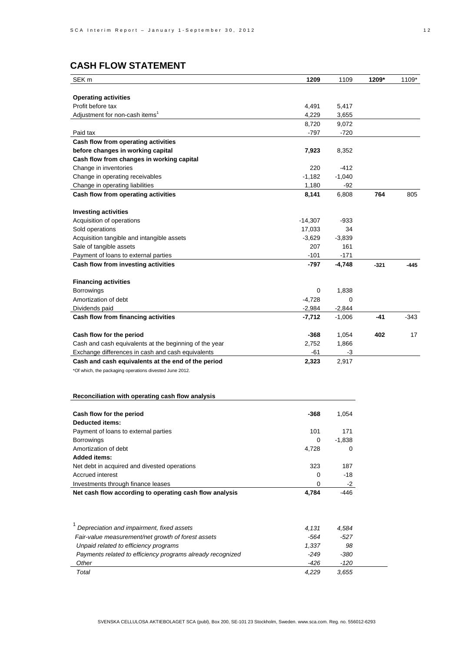## **CASH FLOW STATEMENT**

| SEK <sub>m</sub>                                           | 1209     | 1109     | 1209*  | 1109*  |
|------------------------------------------------------------|----------|----------|--------|--------|
|                                                            |          |          |        |        |
| <b>Operating activities</b>                                |          |          |        |        |
| Profit before tax                                          | 4,491    | 5,417    |        |        |
| Adjustment for non-cash items <sup>1</sup>                 | 4,229    | 3,655    |        |        |
|                                                            | 8,720    | 9,072    |        |        |
| Paid tax                                                   | $-797$   | $-720$   |        |        |
| Cash flow from operating activities                        |          |          |        |        |
| before changes in working capital                          | 7,923    | 8,352    |        |        |
| Cash flow from changes in working capital                  |          |          |        |        |
| Change in inventories                                      | 220      | -412     |        |        |
| Change in operating receivables                            | $-1,182$ | $-1,040$ |        |        |
| Change in operating liabilities                            | 1,180    | -92      |        |        |
| Cash flow from operating activities                        | 8,141    | 6,808    | 764    | 805    |
|                                                            |          |          |        |        |
| <b>Investing activities</b>                                |          |          |        |        |
| Acquisition of operations                                  | -14,307  | -933     |        |        |
| Sold operations                                            | 17,033   | 34       |        |        |
| Acquisition tangible and intangible assets                 | $-3,629$ | $-3,839$ |        |        |
| Sale of tangible assets                                    | 207      | 161      |        |        |
| Payment of loans to external parties                       | $-101$   | $-171$   |        |        |
| Cash flow from investing activities                        | -797     | $-4,748$ | $-321$ | $-445$ |
|                                                            |          |          |        |        |
| <b>Financing activities</b>                                |          |          |        |        |
| Borrowings                                                 | 0        | 1,838    |        |        |
| Amortization of debt                                       | $-4,728$ | 0        |        |        |
| Dividends paid                                             | $-2,984$ | $-2,844$ |        |        |
| Cash flow from financing activities                        | -7,712   | $-1,006$ | $-41$  | $-343$ |
|                                                            |          |          |        |        |
| Cash flow for the period                                   | -368     | 1,054    | 402    | 17     |
| Cash and cash equivalents at the beginning of the year     | 2,752    | 1,866    |        |        |
| Exchange differences in cash and cash equivalents          | -61      | -3       |        |        |
| Cash and cash equivalents at the end of the period         | 2,323    | 2,917    |        |        |
| *Of which, the packaging operations divested June 2012.    |          |          |        |        |
|                                                            |          |          |        |        |
|                                                            |          |          |        |        |
| Reconciliation with operating cash flow analysis           |          |          |        |        |
|                                                            |          |          |        |        |
| Cash flow for the period                                   | -368     | 1,054    |        |        |
| Deducted items:                                            |          |          |        |        |
| Payment of loans to external parties                       | 101      | 171      |        |        |
| <b>Borrowings</b>                                          | 0        | $-1,838$ |        |        |
| Amortization of debt                                       | 4,728    | 0        |        |        |
| <b>Added items:</b>                                        |          |          |        |        |
| Net debt in acquired and divested operations               | 323      | 187      |        |        |
| <b>Accrued interest</b>                                    | 0        | -18      |        |        |
| Investments through finance leases                         | 0        | -2       |        |        |
| Net cash flow according to operating cash flow analysis    | 4,784    | -446     |        |        |
|                                                            |          |          |        |        |
|                                                            |          |          |        |        |
|                                                            |          |          |        |        |
| Depreciation and impairment, fixed assets                  | 4,131    | 4,584    |        |        |
| Fair-value measurement/net growth of forest assets         | -564     | $-527$   |        |        |
| Unpaid related to efficiency programs                      | 1,337    | 98       |        |        |
| Payments related to efficiency programs already recognized | $-249$   | $-380$   |        |        |
| Other                                                      | -426     | $-120$   |        |        |
| Total                                                      | 4,229    | 3,655    |        |        |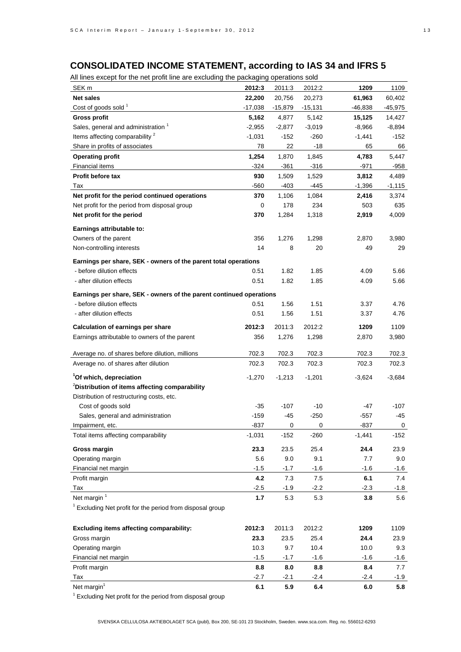## **CONSOLIDATED INCOME STATEMENT, according to IAS 34 and IFRS 5**

All lines except for the net profit line are excluding the packaging operations sold

| $\sim$ m intestessed for the field profit integret excluding the packaging operations sold |           |             |           |          |                |
|--------------------------------------------------------------------------------------------|-----------|-------------|-----------|----------|----------------|
| SEK m                                                                                      | 2012:3    | 2011:3      | 2012:2    | 1209     | 1109           |
| <b>Net sales</b>                                                                           | 22,200    | 20,756      | 20,273    | 61,963   | 60,402         |
| Cost of goods sold 1                                                                       | $-17,038$ | $-15,879$   | $-15,131$ | -46,838  | $-45,975$      |
| <b>Gross profit</b>                                                                        | 5,162     | 4,877       | 5,142     | 15,125   | 14,427         |
| Sales, general and administration <sup>1</sup>                                             | $-2,955$  | $-2,877$    | $-3,019$  | $-8,966$ | -8,894         |
| Items affecting comparability <sup>2</sup>                                                 | $-1,031$  | $-152$      | $-260$    | $-1,441$ | $-152$         |
| Share in profits of associates                                                             | 78        | 22          | -18       | 65       | 66             |
| <b>Operating profit</b>                                                                    | 1,254     | 1,870       | 1,845     | 4,783    | 5,447          |
| <b>Financial items</b>                                                                     | $-324$    | -361        | $-316$    | $-971$   | -958           |
| Profit before tax                                                                          | 930       | 1,509       | 1,529     | 3,812    | 4,489          |
| Tax                                                                                        | -560      | $-403$      | -445      | $-1,396$ | $-1,115$       |
| Net profit for the period continued operations                                             | 370       | 1,106       | 1,084     | 2,416    | 3,374          |
| Net profit for the period from disposal group                                              | 0         | 178         | 234       | 503      | 635            |
| Net profit for the period                                                                  | 370       | 1,284       | 1,318     | 2,919    | 4,009          |
|                                                                                            |           |             |           |          |                |
| Earnings attributable to:                                                                  |           |             |           |          |                |
| Owners of the parent                                                                       | 356       | 1,276       | 1,298     | 2,870    | 3,980          |
| Non-controlling interests                                                                  | 14        | 8           | 20        | 49       | 29             |
| Earnings per share, SEK - owners of the parent total operations                            |           |             |           |          |                |
| - before dilution effects                                                                  | 0.51      | 1.82        | 1.85      | 4.09     | 5.66           |
| - after dilution effects                                                                   | 0.51      | 1.82        | 1.85      | 4.09     | 5.66           |
|                                                                                            |           |             |           |          |                |
| Earnings per share, SEK - owners of the parent continued operations                        |           |             |           |          |                |
| - before dilution effects                                                                  | 0.51      | 1.56        | 1.51      | 3.37     | 4.76           |
| - after dilution effects                                                                   | 0.51      | 1.56        | 1.51      | 3.37     | 4.76           |
| <b>Calculation of earnings per share</b>                                                   | 2012:3    | 2011:3      | 2012:2    | 1209     | 1109           |
| Earnings attributable to owners of the parent                                              | 356       | 1,276       | 1,298     | 2,870    | 3,980          |
|                                                                                            |           |             |           |          |                |
| Average no. of shares before dilution, millions                                            | 702.3     | 702.3       | 702.3     | 702.3    | 702.3          |
| Average no. of shares after dilution                                                       | 702.3     | 702.3       | 702.3     | 702.3    | 702.3          |
| <sup>1</sup> Of which, depreciation                                                        | -1,270    | $-1,213$    | $-1,201$  | $-3,624$ | $-3,684$       |
| <sup>2</sup> Distribution of items affecting comparability                                 |           |             |           |          |                |
| Distribution of restructuring costs, etc.                                                  |           |             |           |          |                |
| Cost of goods sold                                                                         | $-35$     | $-107$      | $-10$     | -47      | $-107$         |
| Sales, general and administration                                                          | $-159$    | -45         | $-250$    | -557     | -45            |
|                                                                                            | -837      | $\mathbf 0$ |           | -837     |                |
| Impairment, etc.                                                                           |           |             | 0         |          | $\overline{0}$ |
| Total items affecting comparability                                                        | $-1,031$  | $-152$      | -260      | $-1,441$ | -152           |
| <b>Gross margin</b>                                                                        | 23.3      | 23.5        | 25.4      | 24.4     | 23.9           |
| Operating margin                                                                           | 5.6       | 9.0         | 9.1       | 7.7      | 9.0            |
| Financial net margin                                                                       | $-1.5$    | $-1.7$      | $-1.6$    | $-1.6$   | $-1.6$         |
| Profit margin                                                                              | 4.2       | 7.3         | 7.5       | 6.1      | 7.4            |
| Tax                                                                                        | $-2.5$    | $-1.9$      | $-2.2$    | $-2.3$   | $-1.8$         |
| Net margin <sup>1</sup>                                                                    | 1.7       | 5.3         | 5.3       | 3.8      | 5.6            |
| <sup>1</sup> Excluding Net profit for the period from disposal group                       |           |             |           |          |                |
|                                                                                            |           |             |           |          |                |
| Excluding items affecting comparability:                                                   | 2012:3    | 2011:3      | 2012:2    | 1209     | 1109           |
| Gross margin                                                                               | 23.3      | 23.5        | 25.4      | 24.4     | 23.9           |
| Operating margin                                                                           | 10.3      | 9.7         | 10.4      | 10.0     | 9.3            |
| Financial net margin                                                                       | $-1.5$    | $-1.7$      | $-1.6$    | $-1.6$   | $-1.6$         |
| Profit margin                                                                              | 8.8       | 8.0         | 8.8       | 8.4      | 7.7            |
| Tax                                                                                        | $-2.7$    | $-2.1$      | $-2.4$    | $-2.4$   | $-1.9$         |
| Net margin <sup>1</sup>                                                                    | 6.1       | 5.9         | 6.4       | 6.0      | 5.8            |
|                                                                                            |           |             |           |          |                |

<sup>1</sup> Excluding Net profit for the period from disposal group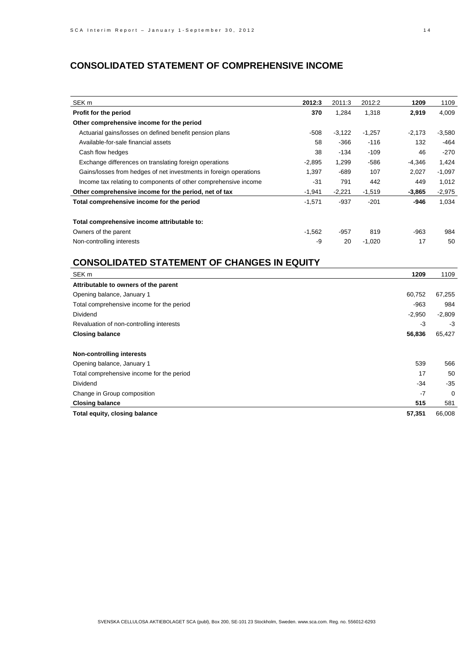## **CONSOLIDATED STATEMENT OF COMPREHENSIVE INCOME**

| SEK <sub>m</sub>                                                  | 2012:3   | 2011:3   | 2012:2   | 1209     | 1109     |
|-------------------------------------------------------------------|----------|----------|----------|----------|----------|
| Profit for the period                                             | 370      | 1,284    | 1,318    | 2,919    | 4,009    |
| Other comprehensive income for the period                         |          |          |          |          |          |
| Actuarial gains/losses on defined benefit pension plans           | $-508$   | $-3,122$ | $-1,257$ | $-2,173$ | $-3,580$ |
| Available-for-sale financial assets                               | 58       | $-366$   | $-116$   | 132      | -464     |
| Cash flow hedges                                                  | 38       | $-134$   | $-109$   | 46       | $-270$   |
| Exchange differences on translating foreign operations            | $-2,895$ | 1,299    | -586     | -4,346   | 1,424    |
| Gains/losses from hedges of net investments in foreign operations | 1,397    | $-689$   | 107      | 2,027    | $-1,097$ |
| Income tax relating to components of other comprehensive income   | $-31$    | 791      | 442      | 449      | 1,012    |
| Other comprehensive income for the period, net of tax             | $-1,941$ | $-2,221$ | $-1,519$ | $-3,865$ | $-2,975$ |
| Total comprehensive income for the period                         | $-1,571$ | $-937$   | $-201$   | -946     | 1,034    |
| Total comprehensive income attributable to:                       |          |          |          |          |          |
| Owners of the parent                                              | $-1,562$ | -957     | 819      | $-963$   | 984      |
| Non-controlling interests                                         | -9       | 20       | $-1,020$ | 17       | 50       |

## **CONSOLIDATED STATEMENT OF CHANGES IN EQUITY**

| SEK <sub>m</sub>                          | 1209     | 1109     |
|-------------------------------------------|----------|----------|
| Attributable to owners of the parent      |          |          |
| Opening balance, January 1                | 60,752   | 67,255   |
| Total comprehensive income for the period | $-963$   | 984      |
| Dividend                                  | $-2,950$ | $-2,809$ |
| Revaluation of non-controlling interests  | -3       | $-3$     |
| <b>Closing balance</b>                    | 56,836   | 65,427   |
| <b>Non-controlling interests</b>          |          |          |
| Opening balance, January 1                | 539      | 566      |
| Total comprehensive income for the period | 17       | 50       |
| Dividend                                  | $-34$    | $-35$    |
| Change in Group composition               | $-7$     | $\Omega$ |
| <b>Closing balance</b>                    | 515      | 581      |
| Total equity, closing balance             | 57,351   | 66,008   |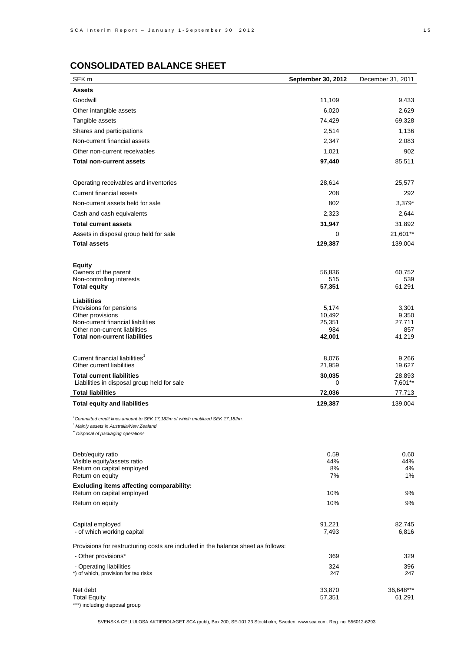## **CONSOLIDATED BALANCE SHEET**

| SEK <sub>m</sub>                                                                 | <b>September 30, 2012</b> | December 31, 2011 |
|----------------------------------------------------------------------------------|---------------------------|-------------------|
| <b>Assets</b>                                                                    |                           |                   |
| Goodwill                                                                         | 11,109                    | 9,433             |
| Other intangible assets                                                          | 6,020                     | 2,629             |
| Tangible assets                                                                  | 74,429                    | 69,328            |
| Shares and participations                                                        | 2,514                     | 1,136             |
| Non-current financial assets                                                     | 2,347                     | 2,083             |
| Other non-current receivables                                                    | 1,021                     | 902               |
| <b>Total non-current assets</b>                                                  | 97,440                    | 85,511            |
|                                                                                  |                           |                   |
| Operating receivables and inventories                                            | 28,614                    | 25,577            |
| Current financial assets                                                         | 208                       | 292               |
| Non-current assets held for sale                                                 | 802                       | 3,379*            |
| Cash and cash equivalents                                                        | 2,323                     | 2,644             |
| <b>Total current assets</b>                                                      | 31,947                    | 31,892            |
| Assets in disposal group held for sale                                           | 0                         | 21,601**          |
| <b>Total assets</b>                                                              | 129,387                   | 139,004           |
|                                                                                  |                           |                   |
| <b>Equity</b>                                                                    |                           |                   |
| Owners of the parent                                                             | 56,836                    | 60,752            |
| Non-controlling interests<br><b>Total equity</b>                                 | 515<br>57,351             | 539<br>61,291     |
|                                                                                  |                           |                   |
| <b>Liabilities</b><br>Provisions for pensions                                    | 5,174                     | 3,301             |
| Other provisions                                                                 | 10,492                    | 9,350             |
| Non-current financial liabilities                                                | 25,351                    | 27,711            |
| Other non-current liabilities<br><b>Total non-current liabilities</b>            | 984<br>42,001             | 857<br>41,219     |
|                                                                                  |                           |                   |
| Current financial liabilities <sup>1</sup>                                       | 8,076                     | 9,266             |
| Other current liabilities                                                        | 21,959                    | 19,627            |
| <b>Total current liabilities</b>                                                 | 30,035                    | 28,893            |
| Liabilities in disposal group held for sale                                      | 0                         | 7,601**           |
| <b>Total liabilities</b>                                                         | 72,036                    | 77,713            |
| <b>Total equity and liabilities</b>                                              | 129,387                   | 139,004           |
| 'Committed credit lines amount to SEK 17,182m of which unutilized SEK 17,182m.   |                           |                   |
| Mainly assets in Australia/New Zealand                                           |                           |                   |
| Disposal of packaging operations                                                 |                           |                   |
|                                                                                  |                           |                   |
| Debt/equity ratio<br>Visible equity/assets ratio                                 | 0.59<br>44%               | 0.60<br>44%       |
| Return on capital employed                                                       | 8%                        | 4%                |
| Return on equity                                                                 | 7%                        | 1%                |
| <b>Excluding items affecting comparability:</b>                                  |                           |                   |
| Return on capital employed                                                       | 10%                       | 9%                |
| Return on equity                                                                 | 10%                       | 9%                |
|                                                                                  |                           |                   |
| Capital employed<br>- of which working capital                                   | 91,221<br>7,493           | 82,745<br>6,816   |
|                                                                                  |                           |                   |
| Provisions for restructuring costs are included in the balance sheet as follows: |                           |                   |
| - Other provisions*                                                              | 369                       | 329               |
| - Operating liabilities<br>*) of which, provision for tax risks                  | 324<br>247                | 396<br>247        |
|                                                                                  |                           |                   |
| Net debt                                                                         | 33,870                    | 36,648***         |
| <b>Total Equity</b>                                                              | 57,351                    | 61,291            |
| ***) including disposal group                                                    |                           |                   |

SVENSKA CELLULOSA AKTIEBOLAGET SCA (publ), Box 200, SE-101 23 Stockholm, Sweden. www.sca.com. Reg. no. 556012-6293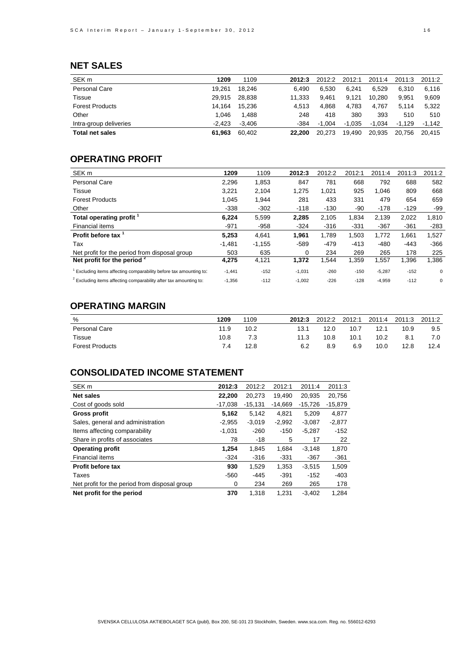## **NET SALES**

| SEK <sub>m</sub>       | 1209     | 1109     | 2012:3 | 2012:2   | 2012:1   | 2011:4   | 2011:3 | 2011:2 |
|------------------------|----------|----------|--------|----------|----------|----------|--------|--------|
| <b>Personal Care</b>   | 19.261   | 18.246   | 6.490  | 6.530    | 6.241    | 6.529    | 6.310  | 6.116  |
| Tissue                 | 29.915   | 28.838   | 11.333 | 9.461    | 9.121    | 10.280   | 9.951  | 9,609  |
| <b>Forest Products</b> | 14.164   | 15.236   | 4.513  | 4.868    | 4.783    | 4.767    | 5.114  | 5.322  |
| Other                  | 1.046    | 1.488    | 248    | 418      | 380      | 393      | 510    | 510    |
| Intra-group deliveries | $-2.423$ | $-3.406$ | -384   | $-1.004$ | $-1.035$ | $-1.034$ | -1.129 | -1.142 |
| <b>Total net sales</b> | 61.963   | 60.402   | 22.200 | 20.273   | 19,490   | 20.935   | 20.756 | 20.415 |

## **OPERATING PROFIT**

| SEK <sub>m</sub>                                                             | 1209     | 1109     | 2012:3   | 2012:2 | 2012:1 | 2011:4   | 2011:3 | 2011:2      |
|------------------------------------------------------------------------------|----------|----------|----------|--------|--------|----------|--------|-------------|
| <b>Personal Care</b>                                                         | 2,296    | 1,853    | 847      | 781    | 668    | 792      | 688    | 582         |
| Tissue                                                                       | 3,221    | 2,104    | 1,275    | 1,021  | 925    | 1.046    | 809    | 668         |
| <b>Forest Products</b>                                                       | 1.045    | 1,944    | 281      | 433    | 331    | 479      | 654    | 659         |
| Other                                                                        | $-338$   | $-302$   | $-118$   | $-130$ | -90    | $-178$   | $-129$ | -99         |
| Total operating profit 1                                                     | 6,224    | 5,599    | 2,285    | 2,105  | 1,834  | 2,139    | 2,022  | 1,810       |
| Financial items                                                              | $-971$   | $-958$   | $-324$   | $-316$ | $-331$ | $-367$   | $-361$ | $-283$      |
| <b>Profit before tax</b>                                                     | 5,253    | 4,641    | 1.961    | 1,789  | 1,503  | 1,772    | 1,661  | 1,527       |
| Tax                                                                          | $-1.481$ | $-1,155$ | $-589$   | $-479$ | $-413$ | $-480$   | $-443$ | $-366$      |
| Net profit for the period from disposal group                                | 503      | 635      | 0        | 234    | 269    | 265      | 178    | 225         |
| Net profit for the period $2$                                                | 4,275    | 4,121    | 1,372    | 1,544  | 1,359  | 1,557    | 1,396  | 1,386       |
| Excluding items affecting comparability before tax amounting to:             | $-1,441$ | $-152$   | $-1,031$ | $-260$ | $-150$ | $-5,287$ | $-152$ | $\mathbf 0$ |
| <sup>2</sup> Excluding items affecting comparability after tax amounting to: | $-1,356$ | $-112$   | $-1,002$ | $-226$ | $-128$ | $-4,959$ | $-112$ | 0           |

## **OPERATING MARGIN**

| %                      | 1209 | 1109 | 2012:3 | 2012:2 | 2012:1 | 2011:4 | 2011:3 | 2011:2 |
|------------------------|------|------|--------|--------|--------|--------|--------|--------|
| Personal Care          | 11.9 | 10.2 | 13.1   | 12.0   | 10.7   | 12.1   | 10.9   | 9.5    |
| Tissue                 | 10.8 | 7.3  | 11.3   | 10.8   | 10.1   | 10.2   | 8.1    | 7.0    |
| <b>Forest Products</b> | 7.4  | 12.8 | 6.2    | 8.9    | 6.9    | 10.0   | 12.8   | 12.4   |

## **CONSOLIDATED INCOME STATEMENT**

| SEK <sub>m</sub>                              | 2012:3    | 2012:2    | 2012:1    | 2011:4    | 2011:3    |
|-----------------------------------------------|-----------|-----------|-----------|-----------|-----------|
| <b>Net sales</b>                              | 22,200    | 20,273    | 19.490    | 20.935    | 20,756    |
| Cost of goods sold                            | $-17.038$ | $-15,131$ | $-14,669$ | $-15,726$ | $-15,879$ |
| Gross profit                                  | 5,162     | 5,142     | 4,821     | 5,209     | 4,877     |
| Sales, general and administration             | $-2.955$  | $-3.019$  | $-2,992$  | $-3.087$  | $-2.877$  |
| Items affecting comparability                 | $-1.031$  | $-260$    | $-150$    | $-5,287$  | $-152$    |
| Share in profits of associates                | 78        | -18       | 5         | 17        | 22        |
| <b>Operating profit</b>                       | 1.254     | 1,845     | 1.684     | $-3,148$  | 1,870     |
| Financial items                               | $-324$    | $-316$    | $-331$    | $-367$    | $-361$    |
| <b>Profit before tax</b>                      | 930       | 1,529     | 1,353     | $-3.515$  | 1,509     |
| Taxes                                         | $-560$    | $-445$    | $-391$    | $-152$    | $-403$    |
| Net profit for the period from disposal group | 0         | 234       | 269       | 265       | 178       |
| Net profit for the period                     | 370       | 1.318     | 1.231     | $-3.402$  | 1.284     |